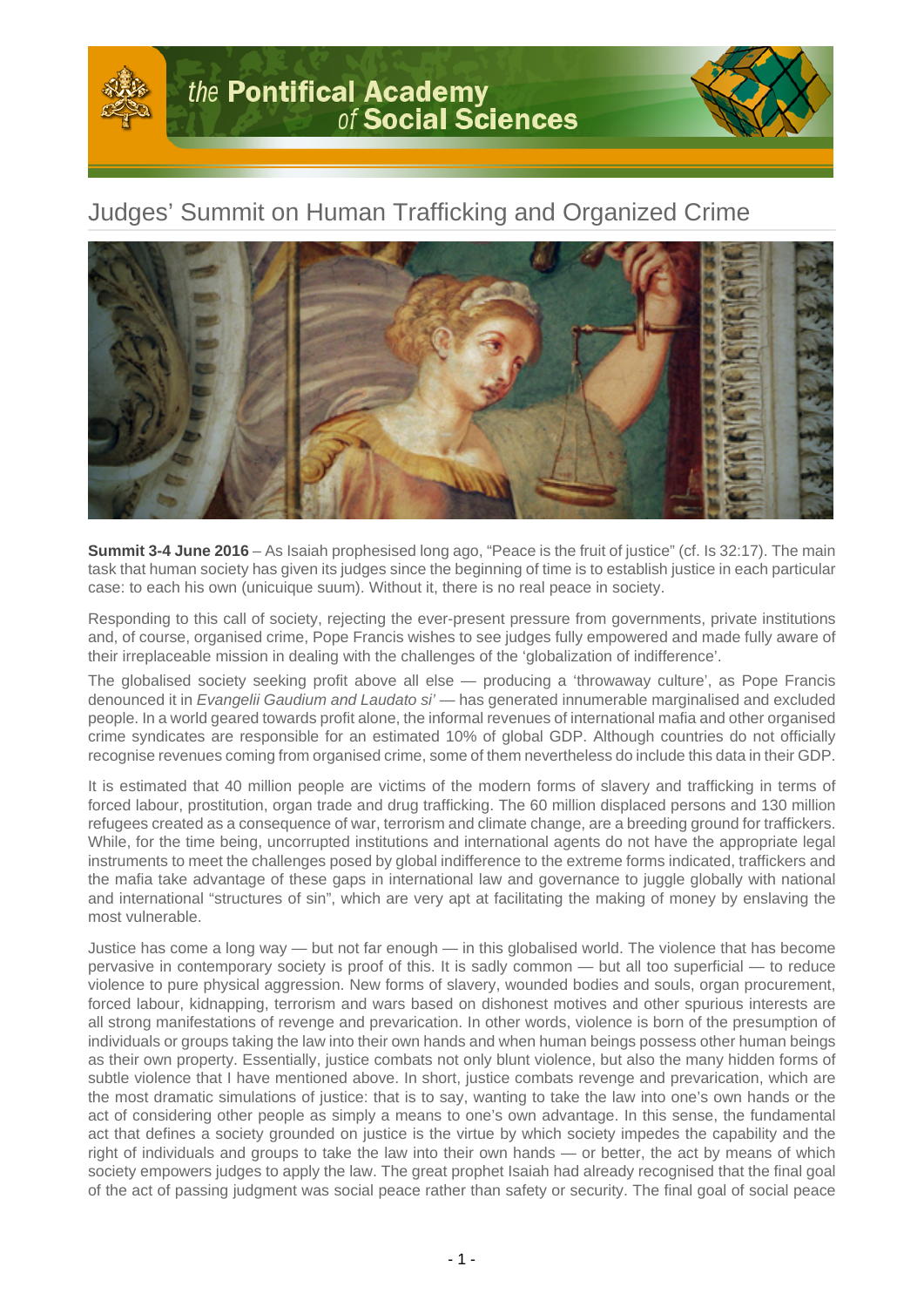

## Judges' Summit on Human Trafficking and Organized Crime



**Summit 3-4 June 2016** – As Isaiah prophesised long ago, "Peace is the fruit of justice" (cf. Is 32:17). The main task that human society has given its judges since the beginning of time is to establish justice in each particular case: to each his own (unicuique suum). Without it, there is no real peace in society.

Responding to this call of society, rejecting the ever-present pressure from governments, private institutions and, of course, organised crime, Pope Francis wishes to see judges fully empowered and made fully aware of their irreplaceable mission in dealing with the challenges of the 'globalization of indifference'.

The globalised society seeking profit above all else — producing a 'throwaway culture', as Pope Francis denounced it in Evangelii Gaudium and Laudato si' — has generated innumerable marginalised and excluded people. In a world geared towards profit alone, the informal revenues of international mafia and other organised crime syndicates are responsible for an estimated 10% of global GDP. Although countries do not officially recognise revenues coming from organised crime, some of them nevertheless do include this data in their GDP.

It is estimated that 40 million people are victims of the modern forms of slavery and trafficking in terms of forced labour, prostitution, organ trade and drug trafficking. The 60 million displaced persons and 130 million refugees created as a consequence of war, terrorism and climate change, are a breeding ground for traffickers. While, for the time being, uncorrupted institutions and international agents do not have the appropriate legal instruments to meet the challenges posed by global indifference to the extreme forms indicated, traffickers and the mafia take advantage of these gaps in international law and governance to juggle globally with national and international "structures of sin", which are very apt at facilitating the making of money by enslaving the most vulnerable.

Justice has come a long way — but not far enough — in this globalised world. The violence that has become pervasive in contemporary society is proof of this. It is sadly common — but all too superficial — to reduce violence to pure physical aggression. New forms of slavery, wounded bodies and souls, organ procurement, forced labour, kidnapping, terrorism and wars based on dishonest motives and other spurious interests are all strong manifestations of revenge and prevarication. In other words, violence is born of the presumption of individuals or groups taking the law into their own hands and when human beings possess other human beings as their own property. Essentially, justice combats not only blunt violence, but also the many hidden forms of subtle violence that I have mentioned above. In short, justice combats revenge and prevarication, which are the most dramatic simulations of justice: that is to say, wanting to take the law into one's own hands or the act of considering other people as simply a means to one's own advantage. In this sense, the fundamental act that defines a society grounded on justice is the virtue by which society impedes the capability and the right of individuals and groups to take the law into their own hands — or better, the act by means of which society empowers judges to apply the law. The great prophet Isaiah had already recognised that the final goal of the act of passing judgment was social peace rather than safety or security. The final goal of social peace